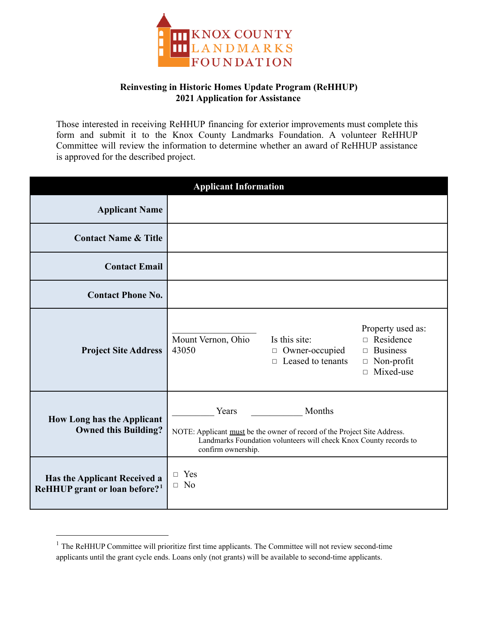

## **Reinvesting in Historic Homes Update Program (ReHHUP) 2021 Application for Assistance**

Those interested in receiving ReHHUP financing for exterior improvements must complete this form and submit it to the Knox County Landmarks Foundation. A volunteer ReHHUP Committee will review the information to determine whether an award of ReHHUP assistance is approved for the described project.

| <b>Applicant Information</b>                                              |                                                                                                                                                                                        |                                                                       |                                                                                                             |
|---------------------------------------------------------------------------|----------------------------------------------------------------------------------------------------------------------------------------------------------------------------------------|-----------------------------------------------------------------------|-------------------------------------------------------------------------------------------------------------|
| <b>Applicant Name</b>                                                     |                                                                                                                                                                                        |                                                                       |                                                                                                             |
| <b>Contact Name &amp; Title</b>                                           |                                                                                                                                                                                        |                                                                       |                                                                                                             |
| <b>Contact Email</b>                                                      |                                                                                                                                                                                        |                                                                       |                                                                                                             |
| <b>Contact Phone No.</b>                                                  |                                                                                                                                                                                        |                                                                       |                                                                                                             |
| <b>Project Site Address</b>                                               | Mount Vernon, Ohio<br>43050                                                                                                                                                            | Is this site:<br>Owner-occupied<br>$\Box$<br>$\Box$ Leased to tenants | Property used as:<br>$\Box$ Residence<br><b>Business</b><br>$\Box$<br>$\Box$ Non-profit<br>$\Box$ Mixed-use |
| <b>How Long has the Applicant</b><br><b>Owned this Building?</b>          | Years<br>Months<br>NOTE: Applicant must be the owner of record of the Project Site Address.<br>Landmarks Foundation volunteers will check Knox County records to<br>confirm ownership. |                                                                       |                                                                                                             |
| Has the Applicant Received a<br>ReHHUP grant or loan before? <sup>1</sup> | $\Box$ Yes<br>$\Box$ No                                                                                                                                                                |                                                                       |                                                                                                             |

<sup>&</sup>lt;sup>1</sup> The ReHHUP Committee will prioritize first time applicants. The Committee will not review second-time applicants until the grant cycle ends. Loans only (not grants) will be available to second-time applicants.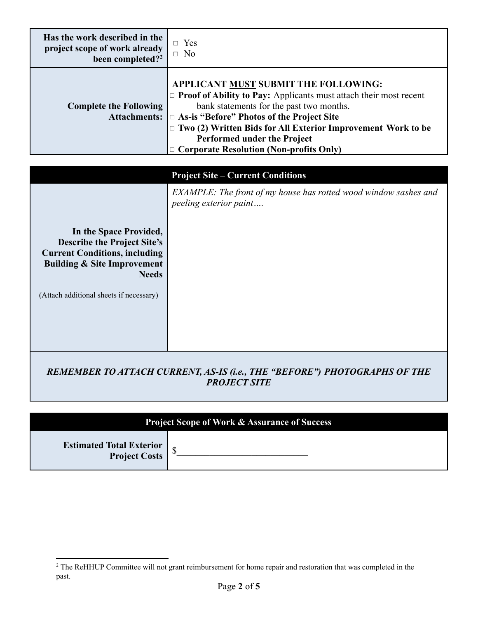| Has the work described in the<br>project scope of work already<br>been completed? <sup>2</sup> | Yes<br>$\Box$ No                                                                                                                                                                                                                                                                                                                                                                      |
|------------------------------------------------------------------------------------------------|---------------------------------------------------------------------------------------------------------------------------------------------------------------------------------------------------------------------------------------------------------------------------------------------------------------------------------------------------------------------------------------|
| <b>Complete the Following</b>                                                                  | APPLICANT MUST SUBMIT THE FOLLOWING:<br>$\Box$ Proof of Ability to Pay: Applicants must attach their most recent<br>bank statements for the past two months.<br>Attachments: $\Box$ As-is "Before" Photos of the Project Site<br>$\Box$ Two (2) Written Bids for All Exterior Improvement Work to be<br>Performed under the Project<br>$\Box$ Corporate Resolution (Non-profits Only) |

## **Project Site – Current Condition**

| Troject site – Current Conditions                                                                                                                                                                         |                                                                                            |  |
|-----------------------------------------------------------------------------------------------------------------------------------------------------------------------------------------------------------|--------------------------------------------------------------------------------------------|--|
| In the Space Provided,<br><b>Describe the Project Site's</b><br><b>Current Conditions, including</b><br><b>Building &amp; Site Improvement</b><br><b>Needs</b><br>(Attach additional sheets if necessary) | EXAMPLE: The front of my house has rotted wood window sashes and<br>peeling exterior paint |  |
|                                                                                                                                                                                                           |                                                                                            |  |
|                                                                                                                                                                                                           |                                                                                            |  |

## *REMEMBER TO ATTACH CURRENT, AS-IS (i.e., THE "BEFORE") PHOTOGRAPHS OF THE PROJECT SITE*

| <b>Project Scope of Work &amp; Assurance of Success</b> |  |
|---------------------------------------------------------|--|
| <b>Estimated Total Exterior<br/>Project Costs</b>       |  |

<sup>&</sup>lt;sup>2</sup> The ReHHUP Committee will not grant reimbursement for home repair and restoration that was completed in the past.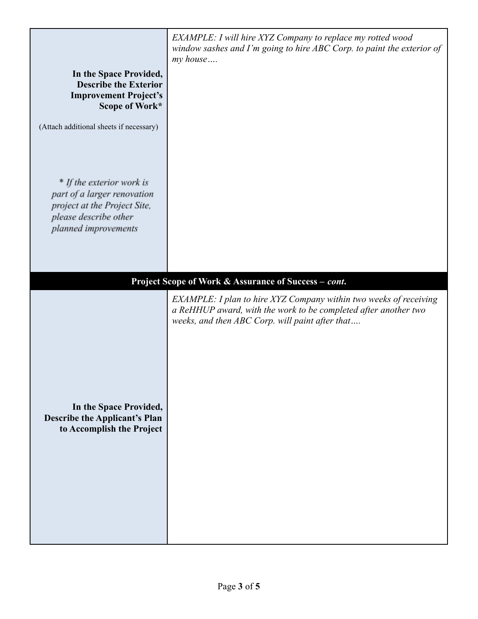| In the Space Provided,<br><b>Describe the Exterior</b><br><b>Improvement Project's</b><br>Scope of Work*                                  | EXAMPLE: I will hire XYZ Company to replace my rotted wood<br>window sashes and I'm going to hire ABC Corp. to paint the exterior of<br>my house                                        |
|-------------------------------------------------------------------------------------------------------------------------------------------|-----------------------------------------------------------------------------------------------------------------------------------------------------------------------------------------|
| (Attach additional sheets if necessary)                                                                                                   |                                                                                                                                                                                         |
| * If the exterior work is<br>part of a larger renovation<br>project at the Project Site,<br>please describe other<br>planned improvements |                                                                                                                                                                                         |
|                                                                                                                                           | Project Scope of Work & Assurance of Success - cont.                                                                                                                                    |
| In the Space Provided,<br><b>Describe the Applicant's Plan</b><br>to Accomplish the Project                                               | EXAMPLE: I plan to hire XYZ Company within two weeks of receiving<br>a ReHHUP award, with the work to be completed after another two<br>weeks, and then ABC Corp. will paint after that |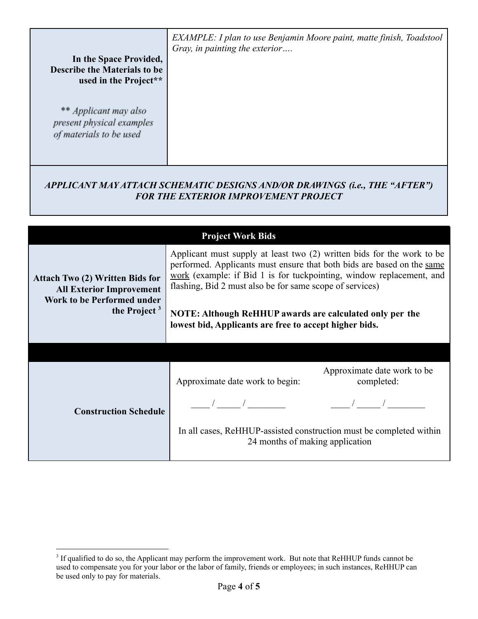| In the Space Provided,<br><b>Describe the Materials to be</b><br>used in the Project** | EXAMPLE: I plan to use Benjamin Moore paint, matte finish, Toadstool<br>Gray, in painting the exterior |
|----------------------------------------------------------------------------------------|--------------------------------------------------------------------------------------------------------|
| ** Applicant may also<br>present physical examples<br>of materials to be used          |                                                                                                        |

## *APPLICANT MAY ATTACH SCHEMATIC DESIGNS AND/OR DRAWINGS (i.e., THE "AFTER") FOR THE EXTERIOR IMPROVEMENT PROJECT*

| <b>Project Work Bids</b>                                                                                                          |                                                                                                                                                                                                                                                                                                                                                                                                            |  |
|-----------------------------------------------------------------------------------------------------------------------------------|------------------------------------------------------------------------------------------------------------------------------------------------------------------------------------------------------------------------------------------------------------------------------------------------------------------------------------------------------------------------------------------------------------|--|
| <b>Attach Two (2) Written Bids for</b><br><b>All Exterior Improvement</b><br><b>Work to be Performed under</b><br>the Project $3$ | Applicant must supply at least two (2) written bids for the work to be<br>performed. Applicants must ensure that both bids are based on the same<br>work (example: if Bid 1 is for tuckpointing, window replacement, and<br>flashing, Bid 2 must also be for same scope of services)<br>NOTE: Although ReHHUP awards are calculated only per the<br>lowest bid, Applicants are free to accept higher bids. |  |
|                                                                                                                                   |                                                                                                                                                                                                                                                                                                                                                                                                            |  |
| <b>Construction Schedule</b>                                                                                                      | Approximate date work to be<br>Approximate date work to begin:<br>completed:<br>In all cases, ReHHUP-assisted construction must be completed within<br>24 months of making application                                                                                                                                                                                                                     |  |

<sup>&</sup>lt;sup>3</sup> If qualified to do so, the Applicant may perform the improvement work. But note that ReHHUP funds cannot be used to compensate you for your labor or the labor of family, friends or employees; in such instances, ReHHUP can be used only to pay for materials.